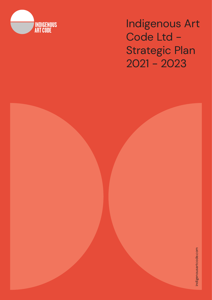

Indigenous Art Code Ltd - Strategic Plan 2021 - 2023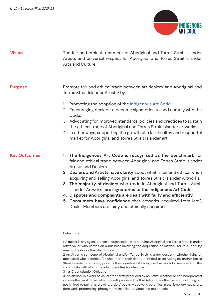

| <b>Vision</b>       | The fair and ethical treatment of Aboriginal and Torres Strait Islander<br>Artists and universal respect for Aboriginal and Torres Strait Islander<br>Arts and Culture.                                                                                                                                                                                                                                                                                                                                                                                                                                                                                       |  |  |  |  |
|---------------------|---------------------------------------------------------------------------------------------------------------------------------------------------------------------------------------------------------------------------------------------------------------------------------------------------------------------------------------------------------------------------------------------------------------------------------------------------------------------------------------------------------------------------------------------------------------------------------------------------------------------------------------------------------------|--|--|--|--|
| <b>Purpose</b>      | Promote fair and ethical trade between art dealers <sup>1</sup> and Aboriginal and<br>Torres Strait Islander Artists <sup>2</sup> by:<br>Promoting the adoption of the Indigenous Art Code<br>1.<br>2. Encouraging dealers to become signatories to, and comply with the<br>Code. <sup>3</sup><br>3. Advocating for improved standards, policies and practices to sustain<br>the ethical trade of Aboriginal and Torres Strait Islander artworks. <sup>4</sup><br>4. In other ways, supporting the growth of a fair, healthy and respectful<br>market for Aboriginal and Torres Strait Islander art.                                                          |  |  |  |  |
| <b>Key Outcomes</b> | 1. The Indigenous Art Code is recognised as the benchmark for<br>fair and ethical trade between Aboriginal and Torres Strait Islander<br><b>Artists and Dealers.</b><br>2. Dealers and Artists have clarity about what is fair and ethical when<br>acquiring and selling Aboriginal and Torres Strait Islander Artworks.<br>3. The majority of dealers who trade in Aboriginal and Torres Strait<br>Islander Artworks are signatories to the Indigenous Art Code.<br>4. Disputes and complaints are dealt with fairly and efficiently.<br>5. Consumers have confidence that artworks acquired from lartC<br>Dealer Members are fairly and ethically acquired. |  |  |  |  |

Definitions:

3 IartC constitution Object e)

<sup>1</sup> A dealer is any agent, person or organisation who acquires Aboriginal and Torres Strait Islander artworks, or who carries on a business involving the acquisition of Artwork, for re-supply by means of sale or other distribution.

<sup>2</sup> An Artist is someone of Aboriginal and/or Torres Strait Islander descent (whether living or deceased) who identifes, (or who prior to their death, identifed, as an Aboriginal and/or Torres Strait Islander, and is (or, prior to their death was) recognised as such by members of the community with which the artist identifes (or identifed).

<sup>4</sup> An artwork is a work of visual art or craft produced by an Artist, whether or not incorporated into another work of visual art or craft produced by that Artist or another person, including but not limited to painting, drawing, artists' books, woodwork, ceramics, glass, jewellery, sculpture, fbre work, printmaking, photography, installation, video and multimedia.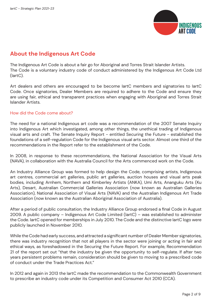

# **About the Indigenous Art Code**

The Indigenous Art Code is about a fair go for Aboriginal and Torres Strait Islander Artists. The Code is a voluntary industry code of conduct administered by the Indigenous Art Code Ltd (IartC).

Art dealers and others are encouraged to be become IartC members and signatories to IartC Code. Once signatories, Dealer Members are required to adhere to the Code and ensure they are using fair, ethical and transparent practices when engaging with Aboriginal and Torres Strait Islander Artists.

# How did the Code come about?

The need for a national Indigenous art code was a recommendation of the 2007 Senate Inquiry into Indigenous Art which investigated, among other things, the unethical trading of Indigenous visual arts and craft. The Senate Inquiry Report - entitled Securing the Future - established the foundations of a self-regulation Code for the Indigenous visual arts sector. Almost one third of the recommendations in the Report refer to the establishment of the Code.

In 2008, in response to these recommendations, the National Association for the Visual Arts (NAVA), in collaboration with the Australia Council for the Arts commenced work on the Code.

An Industry Alliance Group was formed to help design the Code, comprising artists, Indigenous art centres, commercial art galleries, public art galleries, auction houses and visual arts peak bodies, including Arnhem, Northern and Kimberley Artists (ANKA), Umi Arts, Ananguku Arts (Ku Arts), Desart, Australian Commercial Galleries Association (now known as Australian Galleries Association), National Association of Visual Arts (NAVA) and the Australian Indigenous Art Trade Association (now known as the Australian Aboriginal Association of Australia).

After a period of public consultation, the Industry Alliance Group endorsed a final Code in August 2009. A public company – Indigenous Art Code Limited (IartC) – was established to administer the Code. IartC opened for memberships in July 2010. The Code and the distinctive IartC logo were publicly launched in November 2010.

While the Code had early success, and attracted a signifcant number of Dealer Member signatories, there was industry recognition that not all players in the sector were joining or acting in fair and ethical ways, as foreshadowed in the Securing the Future Report. For example, Recommendation 21 of the report set out "that the industry be given the opportunity to self-regulate. If after two years persistent problems remain, consideration should be given to moving to a prescribed code of conduct under the Trade Practices Act."

In 2012 and again in 2013 the IartC made the recommendation to the Commonwealth Government to prescribe an industry code under its Competition and Consumer Act 2010 (CCA).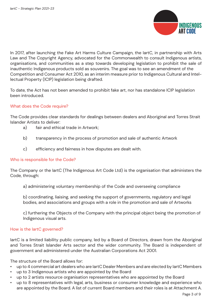

In 2017, after launching the Fake Art Harms Culture Campaign, the IartC, in partnership with Arts Law and The Copyright Agency, advocated for the Commonwealth to consult Indigenous artists, organisations, and communities as a step towards developing legislation to prohibit the sale of inauthentic Indigenous products sold as souvenirs. The goal was to see an amendment of the Competition and Consumer Act 2010, as an interim measure prior to Indigenous Cultural and Intellectual Property (ICIP) legislation being drafted.

To date, the Act has not been amended to prohibit fake art, nor has standalone ICIP legislation been introduced.

# What does the Code require?

The Code provides clear standards for dealings between dealers and Aboriginal and Torres Strait Islander Artists to deliver:

- a) fair and ethical trade in Artwork;
- b) transparency in the process of promotion and sale of authentic Artwork
- c) efficiency and fairness in how disputes are dealt with.

### Who is responsible for the Code?

The Company or the IartC (The Indigenous Art Code Ltd) is the organisation that administers the Code, through:

a) administering voluntary membership of the Code and overseeing compliance

b) coordinating, liaising, and seeking the support of governments, regulatory and legal bodies, and associations and groups with a role in the promotion and sale of Artworks

c) furthering the Objects of the Company with the principal object being the promotion of Indigenous visual arts.

# How is the IartC governed?

lartC is a limited liability public company, led by a Board of Directors, drawn from the Aboriginal and Torres Strait Islander Arts sector and the wider community. The Board is independent of government and administered under the Australian Corporations Act 2001.

The structure of the Board allows for:

- up to 4 commercial art dealers who are IartC Dealer Members and are elected by IartC Members
- up to 3 Indigenous artists who are appointed by the Board
- up to 2 artists resource organisation representatives who are appointed by the Board
- up to 8 representatives with legal, arts, business or consumer knowledge and experience who are appointed by the Board. A list of current Board members and their roles is at Attachment A.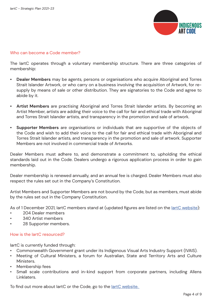

### Who can become a Code member?

The IartC operates through a voluntary membership structure. There are three categories of membership:

- **• Dealer Members** may be agents, persons or organisations who acquire Aboriginal and Torres Strait Islander Artwork, or who carry on a business involving the acquisition of Artwork, for resupply by means of sale or other distribution. They are signatories to the Code and agree to abide by it.
- **• Artist Members** are practising Aboriginal and Torres Strait Islander artists. By becoming an Artist Member, artists are adding their voice to the call for fair and ethical trade with Aboriginal and Torres Strait Islander artists, and transparency in the promotion and sale of artwork.
- **• Supporter Members** are organisations or individuals that are supportive of the objects of the Code and wish to add their voice to the call for fair and ethical trade with Aboriginal and Torres Strait Islander artists, and transparency in the promotion and sale of artwork. Supporter Members are not involved in commercial trade of Artworks.

Dealer Members must adhere to, and demonstrate a commitment to, upholding the ethical standards laid out in the Code. Dealers undergo a rigorous application process in order to gain membership.

Dealer membership is renewed annually, and an annual fee is charged. Dealer Members must also respect the rules set out in the Company's Constitution.

Artist Members and Supporter Members are not bound by the Code, but as members, must abide by the rules set out in the Company Constitution.

As of 1 December 2021, IartC members stand at (updated fgures are listed on the IartC website):

- 204 Dealer members
- 340 Artist members
- 28 Supporter members.

#### How is the IartC resourced?

IartC is currently funded through:

- Commonwealth Government grant under its Indigenous Visual Arts Industry Support (IVAIS).
- Meeting of Cultural Ministers, a forum for Australian, State and Territory Arts and Culture **Ministers**
- Membership fees
- Small scale contributions and in-kind support from corporate partners, including Allens Linklaters.

To find out more about lartC or the Code, go to the lartC website.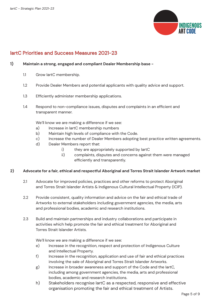

# IartC Priorities and Success Measures 2021-23

#### **1) Maintain a strong, engaged and compliant Dealer Membership base -**

- 1.1 Grow IartC membership.
- 1.2 Provide Dealer Members and potential applicants with quality advice and support.
- 1.3 Efficiently administer membership applications.
- 1.4 Respond to non-compliance issues, disputes and complaints in an efficient and transparent manner.

We'll know we are making a difference if we see:

- a) Increase in lartC membership numbers
- b) Maintain high levels of compliance with the Code.
- c) Increase the number of Dealer Members adopting best practice written agreements.
- d) Dealer Members report that:
	- i) they are appropriately supported by lartC
	- ii) complaints, disputes and concerns against them were managed efficiently and transparently.

#### **2) Advocate for a fair, ethical and respectful Aboriginal and Torres Strait Islander Artwork market**

- 2.1 Advocate for improved policies, practices and other reforms to protect Aboriginal and Torres Strait Islander Artists & Indigenous Cultural Intellectual Property (ICIP).
- 2.2 Provide consistent, quality information and advice on the fair and ethical trade of Artworks to external stakeholders including government agencies, the media, arts and professional bodies, academic and research institutions.
- 2.3 Build and maintain partnerships and industry collaborations and participate in activities which help promote the fair and ethical treatment for Aboriginal and Torres Strait Islander Artists.

We'll know we are making a difference if we see:

- e) Increase in the recognition, respect and protection of Indigenous Culture and Intellectual Property.
- f) Increase in the recognition, application and use of fair and ethical practices involving the sale of Aboriginal and Torres Strait Islander Artworks.
- g) Increase in broader awareness and support of the Code and the lartC, including among government agencies, the media, arts and professional bodies, academic and research institutions.
- h) Stakeholders recognise IartC as a respected, responsive and effective organisation promoting the fair and ethical treatment of Artists.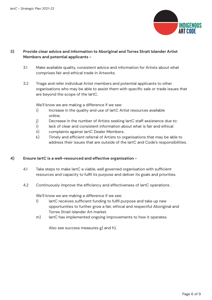

## **3) Provide clear advice and information to Aboriginal and Torres Strait Islander Artist Members and potential applicants -**

- 3.1 Make available quality, consistent advice and information for Artists about what comprises fair and ethical trade in Artworks.
- 3.2 Triage and refer individual Artist members and potential applicants to other organisations who may be able to assist them with specifc sale or trade issues that are beyond the scope of the IartC.

We'll know we are making a difference if we see:

- i) Increase in the quality and use of lartC Artist resources available online.
- j) Decrease in the number of Artists seeking IartC staff assistance due to:
- i) lack of clear and consistent information about what is fair and ethical
- ii) complaints against IartC Dealer Members.
- k) Timely and efficient referral of Artists to organisations that may be able to address their issues that are outside of the IartC and Code's responsibilities.

### **4) Ensure IartC is a well-resourced and effective organisation -**

- 4.1 Take steps to make IartC a viable, well governed organisation with suffcient resources and capacity to fulfl its purpose and deliver its goals and priorities.
- 4.2 Continuously improve the efficiency and effectiveness of lartC operations.

We'll know we are making a difference if we see:

- I) IartC receives sufficient funding to fulfil purpose and take up new opportunities to further grow a fair, ethical and respectful Aboriginal and Torres Strait Islander Art market.
- m) lartC has implemented ongoing improvements to how it operates.

Also see success measures g) and h).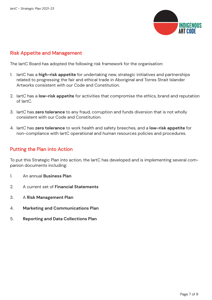

# Risk Appetite and Management

The IartC Board has adopted the following risk framework for the organisation:

- 1. IartC has a **high-risk appetite** for undertaking new, strategic initiatives and partnerships related to progressing the fair and ethical trade in Aboriginal and Torres Strait Islander Artworks consistent with our Code and Constitution.
- 2. IartC has a **low-risk appetite** for activities that compromise the ethics, brand and reputation of IartC.
- 3. IartC has **zero tolerance** to any fraud, corruption and funds diversion that is not wholly consistent with our Code and Constitution.
- 4. IartC has **zero tolerance** to work health and safety breeches, and a **low-risk appetite** for non-compliance with IartC operational and human resources policies and procedures.

# Putting the Plan into Action

To put this Strategic Plan into action, the IartC has developed and is implementing several companion documents including:

- 1. An annual **Business Plan**
- 2. A current set of **Financial Statements**
- 3. A **Risk Management Plan**
- 4. **Marketing and Communications Plan**
- 5. **Reporting and Data Collections Plan**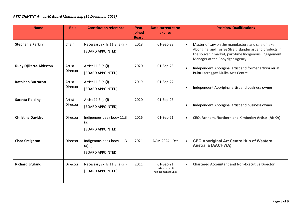| <b>Name</b>                   | Role               | <b>Constitution reference</b>                             | Year<br>joined<br><b>Board</b> | <b>Date current term</b><br>expires                | <b>Position/ Qualifications</b>                                                                                                                                                                           |
|-------------------------------|--------------------|-----------------------------------------------------------|--------------------------------|----------------------------------------------------|-----------------------------------------------------------------------------------------------------------------------------------------------------------------------------------------------------------|
| <b>Stephanie Parkin</b>       | Chair              | Necessary skills 11.3 (a)(iii)<br>[BOARD APPOINTED]       | 2018                           | 01-Sep-22                                          | Master of Law on the manufacture and sale of fake<br>Aboriginal and Torres Strait Islander art and products in<br>the souvenir market, part-time Indigenous Engagement<br>Manager at the Copyright Agency |
| <b>Ruby Djikarra-Alderton</b> | Artist<br>Director | Artist 11.3 (a)(i)<br>[BOARD APPOINTED]                   | 2020                           | 01-Sep-23                                          | Independent Aboriginal artist and former artworker at<br>Buku-Larrnggay Mulka Arts Centre                                                                                                                 |
| <b>Kathleen Buzzacott</b>     | Artist<br>Director | Artist 11.3 (a)(i)<br>[BOARD APPOINTED]                   | 2019                           | 01-Sep-22                                          | Independent Aboriginal artist and business owner<br>$\bullet$                                                                                                                                             |
| <b>Saretta Fielding</b>       | Artist<br>Director | Artist 11.3 (a)(i)<br>[BOARD APPOINTED]                   | 2020                           | 01-Sep-23                                          | Independent Aboriginal artist and business owner                                                                                                                                                          |
| <b>Christina Davidson</b>     | Director           | Indigenous peak body 11.3<br>(a)(ii)<br>[BOARD APPOINTED] | 2016                           | 01-Sep-21                                          | CEO, Arnhem, Northern and Kimberley Artists (ANKA)                                                                                                                                                        |
| <b>Chad Creighton</b>         | Director           | Indigenous peak body 11.3<br>(a)(ii)<br>[BOARD APPOINTED] | 2021                           | AGM 2024 - Dec                                     | <b>CEO Aboriginal Art Centre Hub of Western</b><br><b>Australia (AACHWA)</b>                                                                                                                              |
| <b>Richard England</b>        | Director           | Necessary skills 11.3 (a)(iii)<br>[BOARD APPOINTED]       | 2011                           | 01-Sep-21<br>(extended until<br>replacement found) | <b>Chartered Accountant and Non-Executive Director</b><br>$\bullet$                                                                                                                                       |